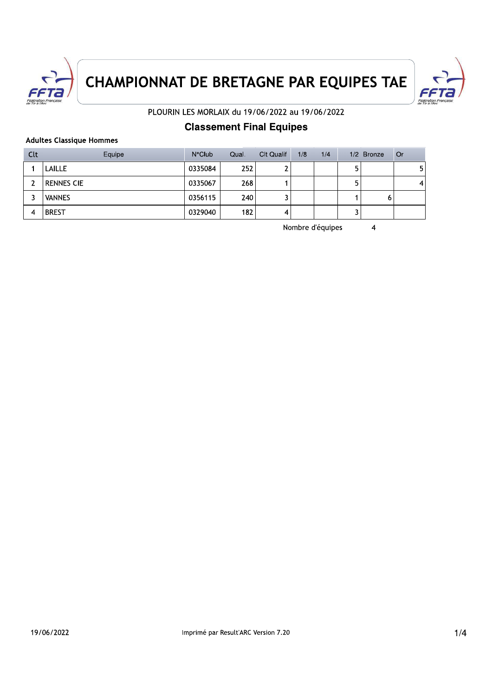



PLOURIN LES MORLAIX du 19/06/2022 au 19/06/2022

## **Classement Final Equipes**

### **Adultes Classique Hommes**

| Clt | Equipe            | $N^{\circ}$ Club | Qual. | <b>Clt Qualif</b> | 1/8 | 1/4 |   | 1/2 Bronze | <b>Or</b>      |
|-----|-------------------|------------------|-------|-------------------|-----|-----|---|------------|----------------|
|     | LAILLE            | 0335084          | 252   |                   |     |     | 5 |            | 5 <sub>1</sub> |
|     | <b>RENNES CIE</b> | 0335067          | 268   |                   |     |     | 5 |            | 4              |
|     | <b>VANNES</b>     | 0356115          | 240   |                   |     |     |   | 0          |                |
| 4   | <b>BREST</b>      | 0329040          | 182   | 4                 |     |     |   |            |                |

Nombre d'équipes

 $\overline{4}$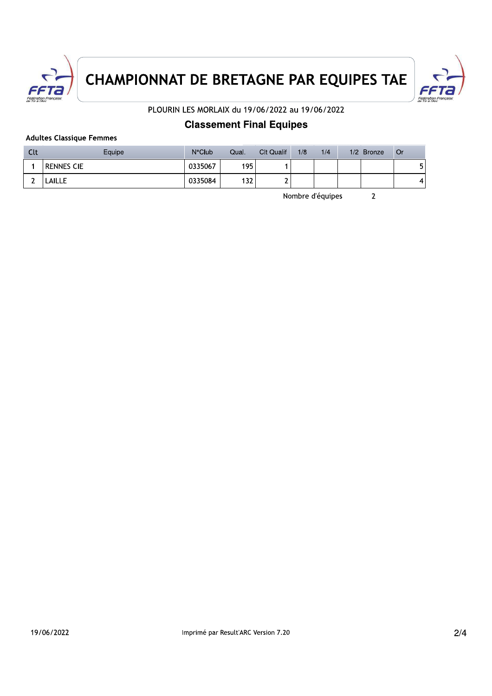



PLOURIN LES MORLAIX du 19/06/2022 au 19/06/2022

## **Classement Final Equipes**

### **Adultes Classique Femmes**

| Clt | Equipe            | $N^{\circ}$ Club | Qual. | Clt Qualif | 1/8 | 1/4              | $1/2$ Bronze | l Or |
|-----|-------------------|------------------|-------|------------|-----|------------------|--------------|------|
|     | <b>RENNES CIE</b> | 0335067          | 195   |            |     |                  |              | 5    |
| ∽   | LAILLE            | 0335084          | 132   |            |     |                  |              | 4    |
|     |                   |                  |       |            |     | Nombre d'équipes |              |      |

Nombre d'équipes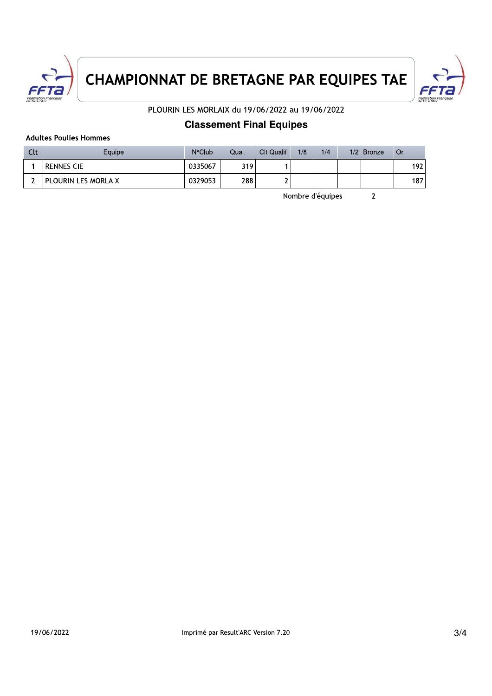



PLOURIN LES MORLAIX du 19/06/2022 au 19/06/2022

## **Classement Final Equipes**

### **Adultes Poulies Hommes**

| Clt | Equipe              | $N^{\circ}$ Club | Qual. | Clt Qualif | 1/8 | 1/4              | 1/2 Bronze | l Or |
|-----|---------------------|------------------|-------|------------|-----|------------------|------------|------|
|     | <b>RENNES CIE</b>   | 0335067          | 319.  |            |     |                  |            | 192  |
|     | PLOURIN LES MORLAIX | 0329053          | 288   |            |     |                  |            | 187  |
|     |                     |                  |       |            |     | Nombre d'équipes |            |      |

Nombre d'équipes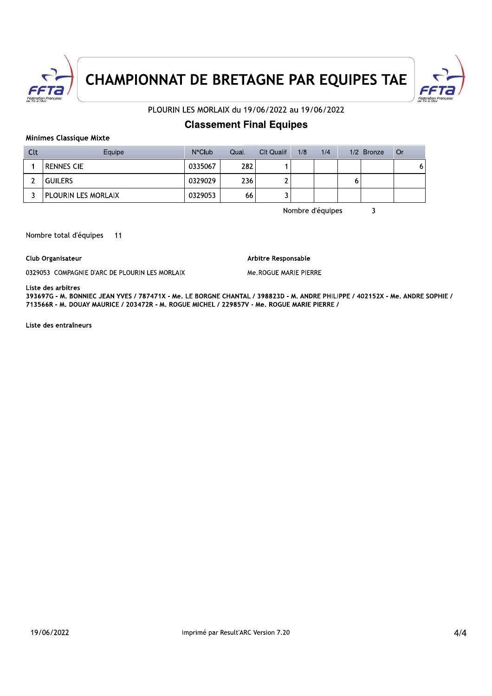



### PLOURIN LES MORLAIX du 19/06/2022 au 19/06/2022

### **Classement Final Equipes**

### **Minimes Classique Mixte**

| Clt | Equipe              | $N^{\circ}$ Club | Qual. | <b>Clt Qualif</b> | 1/8 | 1/4              |   | 1/2 Bronze | <b>Or</b> |
|-----|---------------------|------------------|-------|-------------------|-----|------------------|---|------------|-----------|
|     | <b>RENNES CIE</b>   | 0335067          | 282   |                   |     |                  |   |            | 6         |
|     | <b>GUILERS</b>      | 0329029          | 236   |                   |     |                  | o |            |           |
|     | PLOURIN LES MORLAIX | 0329053          | 66    |                   |     |                  |   |            |           |
|     |                     |                  |       |                   |     | Nombre d'équipes |   |            |           |

Nombre d'équipes

### Nombre total d'équipes  $-11$

Club Organisateur

0329053 COMPAGNIE D'ARC DE PLOURIN LES MORLAIX

Arbitre Responsable

Me.ROGUE MARIE PIERRE

### Liste des arbitres

393697G - M. BONNIEC JEAN YVES / 787471X - Me. LE BORGNE CHANTAL / 398823D - M. ANDRE PHILIPPE / 402152X - Me. ANDRE SOPHIE / 713566R - M. DOUAY MAURICE / 203472R - M. ROGUE MICHEL / 229857V - Me. ROGUE MARIE PIERRE /

Liste des entraîneurs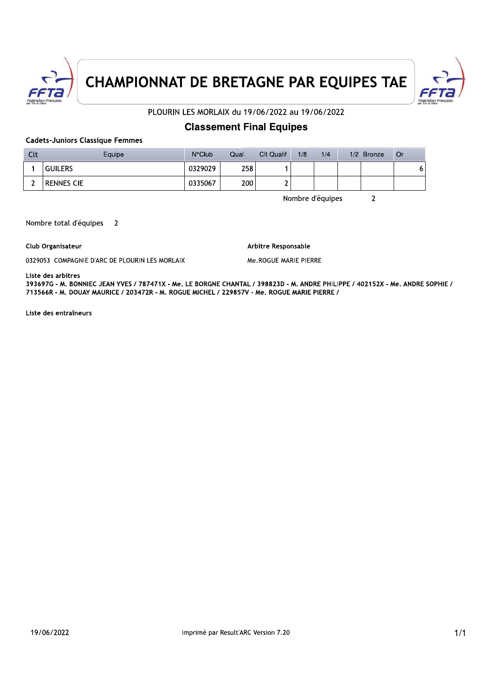



### PLOURIN LES MORLAIX du 19/06/2022 au 19/06/2022

### **Classement Final Equipes**

**Cadets-Juniors Classique Femmes** 

| Clt | Equipe         | $N^{\circ}$ Club | Qual. | <b>Clt Qualif</b> | 1/8 | 1/4              | 1/2 Bronze | l Or |
|-----|----------------|------------------|-------|-------------------|-----|------------------|------------|------|
|     | <b>GUILERS</b> | 0329029          | 258   |                   |     |                  |            | 6    |
|     | Rennes Cie     | 0335067          | 200   |                   |     |                  |            |      |
|     |                |                  |       |                   |     | Nombre d'équipes |            |      |

Nombre d'équipes

Nombre total d'équipes  $\overline{2}$ 

Club Organisateur

0329053 COMPAGNIE D'ARC DE PLOURIN LES MORLAIX

Arbitre Responsable

Me.ROGUE MARIE PIERRE

Liste des arbitres

393697G - M. BONNIEC JEAN YVES / 787471X - Me. LE BORGNE CHANTAL / 398823D - M. ANDRE PHILIPPE / 402152X - Me. ANDRE SOPHIE / 713566R - M. DOUAY MAURICE / 203472R - M. ROGUE MICHEL / 229857V - Me. ROGUE MARIE PIERRE /

Liste des entraîneurs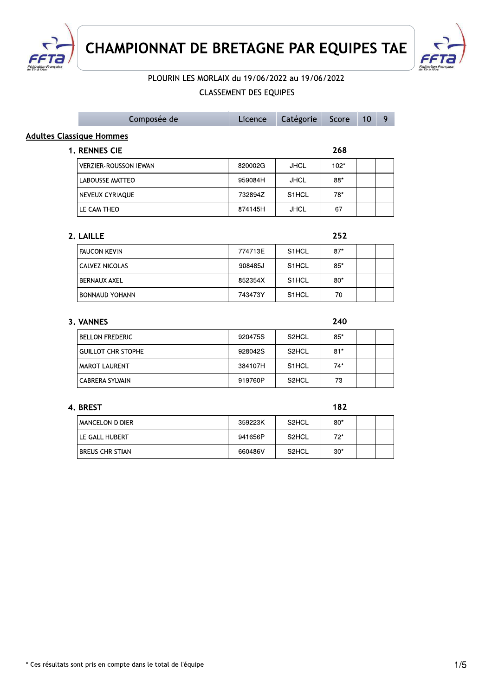



| <b>CHAMPIONNAT DE BRETAGNE PAR EQUIPES TAE</b>  |                               |             |        |    |   |
|-------------------------------------------------|-------------------------------|-------------|--------|----|---|
| PLOURIN LES MORLAIX du 19/06/2022 au 19/06/2022 |                               |             |        |    |   |
|                                                 | <b>CLASSEMENT DES EQUIPES</b> |             |        |    |   |
| Composée de                                     | Licence                       | Catégorie   | Score  | 10 | 9 |
| <b>Adultes Classique Hommes</b>                 |                               |             |        |    |   |
| 1. RENNES CIE                                   |                               |             | 268    |    |   |
| <b>VERZIER-ROUSSON IEWAN</b>                    | 820002G                       | <b>JHCL</b> | $102*$ |    |   |
| <b>LABOUSSE MATTEO</b>                          | 959084H                       | <b>JHCL</b> | $88*$  |    |   |
| NEVEUX CYRIAQUE                                 | 732894Z                       | S1HCL       | $78*$  |    |   |
| LE CAM THEO                                     | 874145H                       | <b>JHCL</b> | 67     |    |   |
| 2. LAILLE                                       |                               |             | 252    |    |   |
| <b>FAUCON KEVIN</b>                             | 774713E                       | S1HCL       | $87*$  |    |   |
| CALVEZ NICOLAS                                  | 908485J                       | S1HCL       | $85*$  |    |   |
| <b>BERNAUX AXEL</b>                             | 852354X                       | S1HCL       | $80*$  |    |   |
| <b>BONNAUD YOHANN</b>                           | 743473Y                       | S1HCL       | 70     |    |   |
| 3. VANNES                                       |                               |             | 240    |    |   |
| <b>BELLON FREDERIC</b>                          | 920475S                       | S2HCL       | $85*$  |    |   |
| <b>GUILLOT CHRISTOPHE</b>                       | 928042S                       | S2HCL       | $81*$  |    |   |
| MAROT LAURENT                                   | 384107H                       | S1HCL       | $74*$  |    |   |

 $CABRERA SYLVAIN$   $919760P$  S2HCL 73

| 4. BKESI          |         |                                | 18 Z  |  |
|-------------------|---------|--------------------------------|-------|--|
| MANCELON DIDIER   | 359223K | S <sub>2</sub> H <sub>CL</sub> | $80*$ |  |
| LE GALL HUBERT    | 941656P | S <sub>2</sub> HCL             | 72*   |  |
| ' BREUS CHRISTIAN | 660486V | S <sub>2</sub> HCL             | $30*$ |  |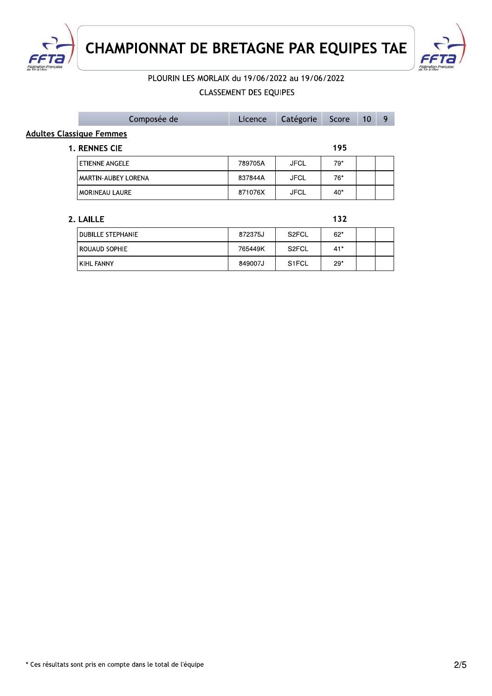

KIHL FANNY

**CHAMPIONNAT DE BRETAGNE PAR EQUIPES TAE** 



# PLOURIN LES MORLAIX du 19/06/2022 au 19/06/2022

## **CLASSEMENT DES EQUIPES**

849007J

S1FCL

 $29*$ 

|                                 | Composée de                | Licence | Catégorie          | Score | 10 | 9 |
|---------------------------------|----------------------------|---------|--------------------|-------|----|---|
| <b>Adultes Classique Femmes</b> |                            |         |                    |       |    |   |
|                                 | <b>1. RENNES CIE</b>       |         |                    | 195   |    |   |
|                                 | <b>ETIENNE ANGELE</b>      | 789705A | <b>JFCL</b>        | $79*$ |    |   |
|                                 | <b>MARTIN-AUBEY LORENA</b> | 837844A | <b>JFCL</b>        | $76*$ |    |   |
|                                 | <b>MORINEAU LAURE</b>      | 871076X | <b>JFCL</b>        | $40*$ |    |   |
|                                 |                            |         |                    |       |    |   |
|                                 | 2. LAILLE                  |         |                    | 132   |    |   |
|                                 | <b>DUBILLE STEPHANIE</b>   | 872375J | S <sub>2</sub> FCL | $62*$ |    |   |
|                                 | ROUAUD SOPHIE              | 765449K | S <sub>2</sub> FCL | $41*$ |    |   |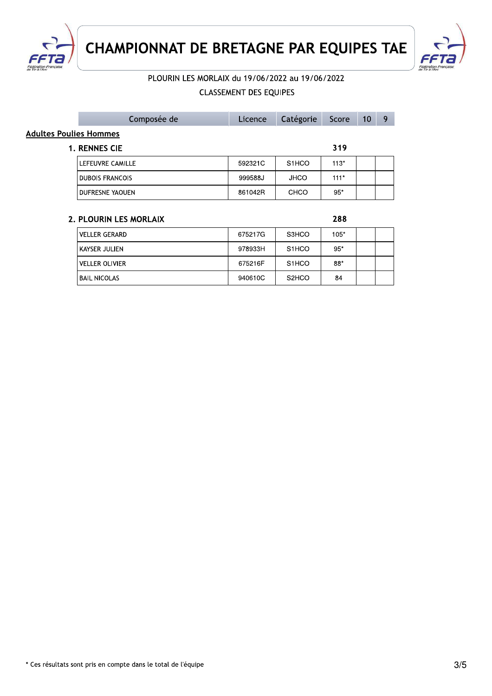



## PLOURIN LES MORLAIX du 19/06/2022 au 19/06/2022

### **CLASSEMENT DES EQUIPES**

|                        | Composée de            | Licence | Catégorie          | Score  | 10 | 9 |
|------------------------|------------------------|---------|--------------------|--------|----|---|
| Adultes Poulies Hommes |                        |         |                    |        |    |   |
|                        | 1. RENNES CIE          |         |                    | 319    |    |   |
|                        | LEFEUVRE CAMILLE       | 592321C | S <sub>1</sub> HCO | $113*$ |    |   |
|                        | <b>DUBOIS FRANCOIS</b> | 999588J | <b>JHCO</b>        | $111*$ |    |   |
|                        | DUFRESNE YAOUEN        | 861042R | CHCO               | $95*$  |    |   |
|                        |                        |         |                    |        |    |   |
|                        | 2. PLOURIN LES MORLAIX |         |                    | 288    |    |   |

| <b>VELLER GERARD</b>  | 675217G | S3HCO                          | $105*$ |  |
|-----------------------|---------|--------------------------------|--------|--|
| KAYSER JULIEN         | 978933H | S <sub>1</sub> HCO             | $95*$  |  |
| <b>VELLER OLIVIER</b> | 675216F | S <sub>1</sub> HCO             | 88*    |  |
| <b>BAIL NICOLAS</b>   | 940610C | S <sub>2</sub> H <sub>CO</sub> | 84     |  |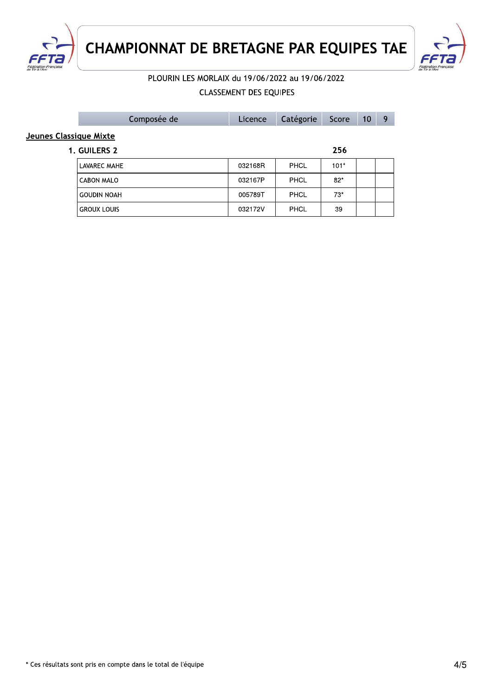



# PLOURIN LES MORLAIX du 19/06/2022 au 19/06/2022

## **CLASSEMENT DES EQUIPES**

|                        | Composée de        | Licence | Catégorie   | Score  | 10 | 9 |
|------------------------|--------------------|---------|-------------|--------|----|---|
| Jeunes Classique Mixte |                    |         |             |        |    |   |
|                        | 1. GUILERS 2       |         |             | 256    |    |   |
|                        | LAVAREC MAHE       | 032168R | <b>PHCL</b> | $101*$ |    |   |
|                        | <b>CABON MALO</b>  | 032167P | <b>PHCL</b> | $82*$  |    |   |
|                        | <b>GOUDIN NOAH</b> | 005789T | <b>PHCL</b> | $73*$  |    |   |
|                        | <b>GROUX LOUIS</b> | 032172V | <b>PHCL</b> | 39     |    |   |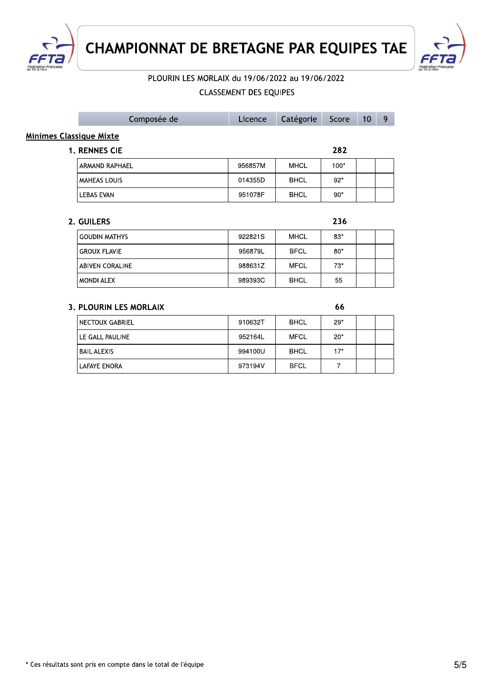



### PLOURIN LES MORLAIX du 19/06/2022 au 19/06/2022

### **CLASSEMENT DES EQUIPES**

994100U

973194V

**BHCL** 

**BFCL** 

 $17*$  $\overline{7}$ 

|                                | Composée de                   | Licence | Catégorie   | Score  | 10 | 9 |  |  |  |  |  |  |
|--------------------------------|-------------------------------|---------|-------------|--------|----|---|--|--|--|--|--|--|
| <b>Minimes Classique Mixte</b> |                               |         |             |        |    |   |  |  |  |  |  |  |
|                                | 1. RENNES CIE                 | 282     |             |        |    |   |  |  |  |  |  |  |
|                                | <b>ARMAND RAPHAEL</b>         | 956857M | <b>MHCL</b> | $100*$ |    |   |  |  |  |  |  |  |
|                                | <b>MAHEAS LOUIS</b>           | 014355D | <b>BHCL</b> | $92*$  |    |   |  |  |  |  |  |  |
|                                | LEBAS EVAN                    | 951078F | <b>BHCL</b> | $90*$  |    |   |  |  |  |  |  |  |
|                                |                               |         |             |        |    |   |  |  |  |  |  |  |
|                                | 2. GUILERS                    |         |             | 236    |    |   |  |  |  |  |  |  |
|                                | <b>GOUDIN MATHYS</b>          | 922821S | <b>MHCL</b> | $83*$  |    |   |  |  |  |  |  |  |
|                                | <b>GROUX FLAVIE</b>           | 956879L | <b>BFCL</b> | $80*$  |    |   |  |  |  |  |  |  |
|                                | <b>ABIVEN CORALINE</b>        | 988631Z | <b>MFCL</b> | $73*$  |    |   |  |  |  |  |  |  |
|                                | <b>MONDI ALEX</b>             | 989393C | <b>BHCL</b> | 55     |    |   |  |  |  |  |  |  |
|                                |                               |         |             |        |    |   |  |  |  |  |  |  |
|                                | <b>3. PLOURIN LES MORLAIX</b> |         |             | 66     |    |   |  |  |  |  |  |  |
|                                | NECTOUX GABRIEL               | 910632T | <b>BHCL</b> | $29*$  |    |   |  |  |  |  |  |  |
|                                | LE GALL PAULINE               | 952164L | <b>MFCL</b> | $20*$  |    |   |  |  |  |  |  |  |

**BAIL ALEXIS** 

LAFAYE ENORA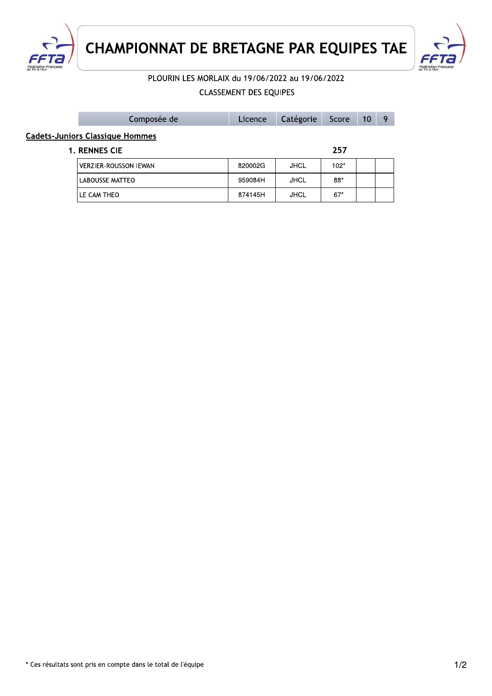



# PLOURIN LES MORLAIX du 19/06/2022 au 19/06/2022

## **CLASSEMENT DES EQUIPES**

|                                        | Composée de                  | Licence | Catégorie   | Score  | 10 | q |  |
|----------------------------------------|------------------------------|---------|-------------|--------|----|---|--|
| <b>Cadets-Juniors Classique Hommes</b> |                              |         |             |        |    |   |  |
|                                        | <b>1. RENNES CIE</b>         |         |             | 257    |    |   |  |
|                                        | <b>VERZIER-ROUSSON IEWAN</b> | 820002G | <b>JHCL</b> | $102*$ |    |   |  |
|                                        | LABOUSSE MATTEO              | 959084H | JHCL        | 88*    |    |   |  |
|                                        | LE CAM THEO                  | 874145H | <b>JHCL</b> | $67*$  |    |   |  |